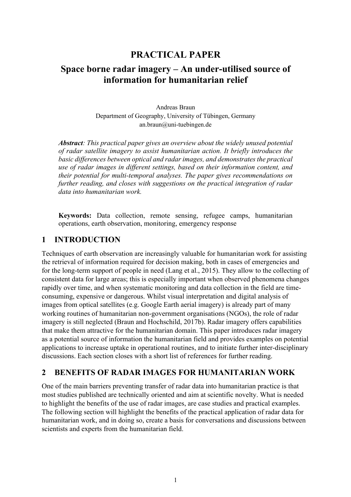# **PRACTICAL PAPER**

# **Space borne radar imagery – An under-utilised source of information for humanitarian relief**

Andreas Braun Department of Geography, University of Tübingen, Germany an.braun@uni-tuebingen.de

*Abstract: This practical paper gives an overview about the widely unused potential of radar satellite imagery to assist humanitarian action. It briefly introduces the basic differences between optical and radar images, and demonstrates the practical use of radar images in different settings, based on their information content, and their potential for multi-temporal analyses. The paper gives recommendations on further reading, and closes with suggestions on the practical integration of radar data into humanitarian work.* 

**Keywords:** Data collection, remote sensing, refugee camps, humanitarian operations, earth observation, monitoring, emergency response

## **1 INTRODUCTION**

Techniques of earth observation are increasingly valuable for humanitarian work for assisting the retrieval of information required for decision making, both in cases of emergencies and for the long-term support of people in need (Lang et al., 2015). They allow to the collecting of consistent data for large areas; this is especially important when observed phenomena changes rapidly over time, and when systematic monitoring and data collection in the field are timeconsuming, expensive or dangerous. Whilst visual interpretation and digital analysis of images from optical satellites (e.g. Google Earth aerial imagery) is already part of many working routines of humanitarian non-government organisations (NGOs), the role of radar imagery is still neglected (Braun and Hochschild, 2017b). Radar imagery offers capabilities that make them attractive for the humanitarian domain. This paper introduces radar imagery as a potential source of information the humanitarian field and provides examples on potential applications to increase uptake in operational routines, and to initiate further inter-disciplinary discussions. Each section closes with a short list of references for further reading.

## **2 BENEFITS OF RADAR IMAGES FOR HUMANITARIAN WORK**

One of the main barriers preventing transfer of radar data into humanitarian practice is that most studies published are technically oriented and aim at scientific novelty. What is needed to highlight the benefits of the use of radar images, are case studies and practical examples. The following section will highlight the benefits of the practical application of radar data for humanitarian work, and in doing so, create a basis for conversations and discussions between scientists and experts from the humanitarian field.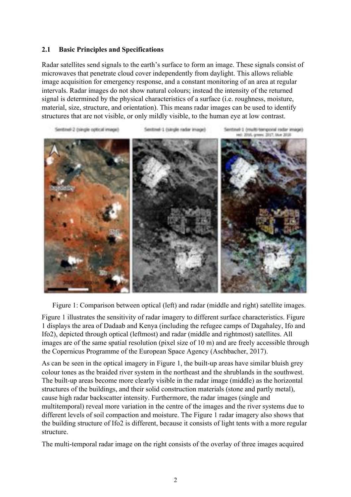#### **2.1 Basic Principles and Specifications**

Radar satellites send signals to the earth's surface to form an image. These signals consist of microwaves that penetrate cloud cover independently from daylight. This allows reliable image acquisition for emergency response, and a constant monitoring of an area at regular intervals. Radar images do not show natural colours; instead the intensity of the returned signal is determined by the physical characteristics of a surface (i.e. roughness, moisture, material, size, structure, and orientation). This means radar images can be used to identify structures that are not visible, or only mildly visible, to the human eye at low contrast.



Figure 1: Comparison between optical (left) and radar (middle and right) satellite images.

Figure 1 illustrates the sensitivity of radar imagery to different surface characteristics. Figure 1 displays the area of Dadaab and Kenya (including the refugee camps of Dagahaley, Ifo and Ifo2), depicted through optical (leftmost) and radar (middle and rightmost) satellites. All images are of the same spatial resolution (pixel size of 10 m) and are freely accessible through the Copernicus Programme of the European Space Agency (Aschbacher, 2017).

As can be seen in the optical imagery in Figure 1, the built-up areas have similar bluish grey colour tones as the braided river system in the northeast and the shrublands in the southwest. The built-up areas become more clearly visible in the radar image (middle) as the horizontal structures of the buildings, and their solid construction materials (stone and partly metal), cause high radar backscatter intensity. Furthermore, the radar images (single and multitemporal) reveal more variation in the centre of the images and the river systems due to different levels of soil compaction and moisture. The Figure 1 radar imagery also shows that the building structure of Ifo2 is different, because it consists of light tents with a more regular structure.

The multi-temporal radar image on the right consists of the overlay of three images acquired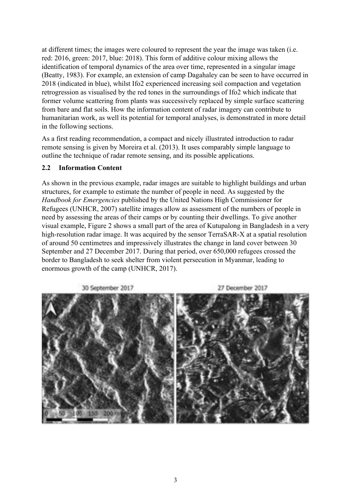at different times; the images were coloured to represent the year the image was taken (i.e. red: 2016, green: 2017, blue: 2018). This form of additive colour mixing allows the identification of temporal dynamics of the area over time, represented in a singular image (Beatty, 1983). For example, an extension of camp Dagahaley can be seen to have occurred in 2018 (indicated in blue), whilst Ifo2 experienced increasing soil compaction and vegetation retrogression as visualised by the red tones in the surroundings of Ifo2 which indicate that former volume scattering from plants was successively replaced by simple surface scattering from bare and flat soils. How the information content of radar imagery can contribute to humanitarian work, as well its potential for temporal analyses, is demonstrated in more detail in the following sections.

As a first reading recommendation, a compact and nicely illustrated introduction to radar remote sensing is given by Moreira et al. (2013). It uses comparably simple language to outline the technique of radar remote sensing, and its possible applications.

#### **2.2 Information Content**

As shown in the previous example, radar images are suitable to highlight buildings and urban structures, for example to estimate the number of people in need. As suggested by the *Handbook for Emergencies* published by the United Nations High Commissioner for Refugees (UNHCR, 2007) satellite images allow as assessment of the numbers of people in need by assessing the areas of their camps or by counting their dwellings. To give another visual example, Figure 2 shows a small part of the area of Kutupalong in Bangladesh in a very high-resolution radar image. It was acquired by the sensor TerraSAR-X at a spatial resolution of around 50 centimetres and impressively illustrates the change in land cover between 30 September and 27 December 2017. During that period, over 650,000 refugees crossed the border to Bangladesh to seek shelter from violent persecution in Myanmar, leading to enormous growth of the camp (UNHCR, 2017).

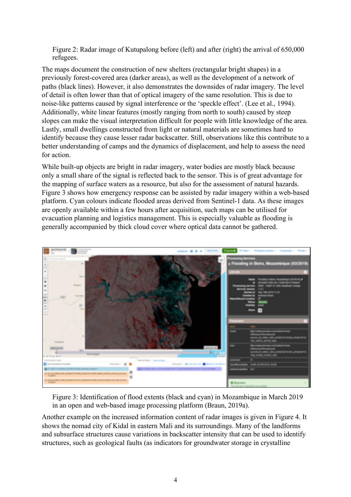Figure 2: Radar image of Kutupalong before (left) and after (right) the arrival of 650,000 refugees.

The maps document the construction of new shelters (rectangular bright shapes) in a previously forest-covered area (darker areas), as well as the development of a network of paths (black lines). However, it also demonstrates the downsides of radar imagery. The level of detail is often lower than that of optical imagery of the same resolution. This is due to noise-like patterns caused by signal interference or the 'speckle effect'. (Lee et al., 1994). Additionally, white linear features (mostly ranging from north to south) caused by steep slopes can make the visual interpretation difficult for people with little knowledge of the area. Lastly, small dwellings constructed from light or natural materials are sometimes hard to identify because they cause lesser radar backscatter. Still, observations like this contribute to a better understanding of camps and the dynamics of displacement, and help to assess the need for action.

While built-up objects are bright in radar imagery, water bodies are mostly black because only a small share of the signal is reflected back to the sensor. This is of great advantage for the mapping of surface waters as a resource, but also for the assessment of natural hazards. Figure 3 shows how emergency response can be assisted by radar imagery within a web-based platform. Cyan colours indicate flooded areas derived from Sentinel-1 data. As these images are openly available within a few hours after acquisition, such maps can be utilised for evacuation planning and logistics management. This is especially valuable as flooding is generally accompanied by thick cloud cover where optical data cannot be gathered.



Figure 3: Identification of flood extents (black and cyan) in Mozambique in March 2019 in an open and web-based image processing platform (Braun, 2019a).

Another example on the increased information content of radar images is given in Figure 4. It shows the nomad city of Kidal in eastern Mali and its surroundings. Many of the landforms and subsurface structures cause variations in backscatter intensity that can be used to identify structures, such as geological faults (as indicators for groundwater storage in crystalline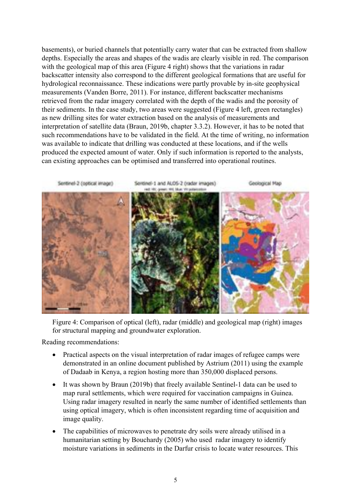basements), or buried channels that potentially carry water that can be extracted from shallow depths. Especially the areas and shapes of the wadis are clearly visible in red. The comparison with the geological map of this area (Figure 4 right) shows that the variations in radar backscatter intensity also correspond to the different geological formations that are useful for hydrological reconnaissance. These indications were partly provable by in-site geophysical measurements (Vanden Borre, 2011). For instance, different backscatter mechanisms retrieved from the radar imagery correlated with the depth of the wadis and the porosity of their sediments. In the case study, two areas were suggested (Figure 4 left, green rectangles) as new drilling sites for water extraction based on the analysis of measurements and interpretation of satellite data (Braun, 2019b, chapter 3.3.2). However, it has to be noted that such recommendations have to be validated in the field. At the time of writing, no information was available to indicate that drilling was conducted at these locations, and if the wells produced the expected amount of water. Only if such information is reported to the analysts, can existing approaches can be optimised and transferred into operational routines.



Figure 4: Comparison of optical (left), radar (middle) and geological map (right) images for structural mapping and groundwater exploration.

Reading recommendations:

- Practical aspects on the visual interpretation of radar images of refugee camps were demonstrated in an online document published by Astrium (2011) using the example of Dadaab in Kenya, a region hosting more than 350,000 displaced persons.
- It was shown by Braun (2019b) that freely available Sentinel-1 data can be used to map rural settlements, which were required for vaccination campaigns in Guinea. Using radar imagery resulted in nearly the same number of identified settlements than using optical imagery, which is often inconsistent regarding time of acquisition and image quality.
- The capabilities of microwaves to penetrate dry soils were already utilised in a humanitarian setting by Bouchardy (2005) who used radar imagery to identify moisture variations in sediments in the Darfur crisis to locate water resources. This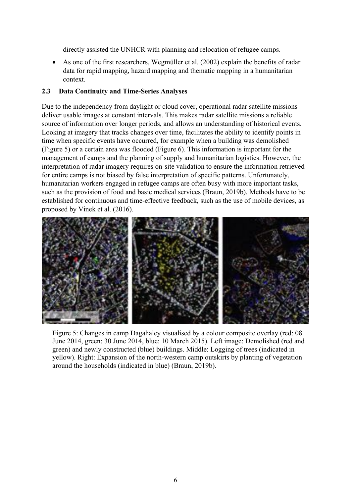directly assisted the UNHCR with planning and relocation of refugee camps.

• As one of the first researchers, Wegmüller et al. (2002) explain the benefits of radar data for rapid mapping, hazard mapping and thematic mapping in a humanitarian context.

### **2.3 Data Continuity and Time-Series Analyses**

Due to the independency from daylight or cloud cover, operational radar satellite missions deliver usable images at constant intervals. This makes radar satellite missions a reliable source of information over longer periods, and allows an understanding of historical events. Looking at imagery that tracks changes over time, facilitates the ability to identify points in time when specific events have occurred, for example when a building was demolished (Figure 5) or a certain area was flooded (Figure 6). This information is important for the management of camps and the planning of supply and humanitarian logistics. However, the interpretation of radar imagery requires on-site validation to ensure the information retrieved for entire camps is not biased by false interpretation of specific patterns. Unfortunately, humanitarian workers engaged in refugee camps are often busy with more important tasks, such as the provision of food and basic medical services (Braun, 2019b). Methods have to be established for continuous and time-effective feedback, such as the use of mobile devices, as proposed by Vinek et al. (2016).



Figure 5: Changes in camp Dagahaley visualised by a colour composite overlay (red: 08 June 2014, green: 30 June 2014, blue: 10 March 2015). Left image: Demolished (red and green) and newly constructed (blue) buildings. Middle: Logging of trees (indicated in yellow). Right: Expansion of the north-western camp outskirts by planting of vegetation around the households (indicated in blue) (Braun, 2019b).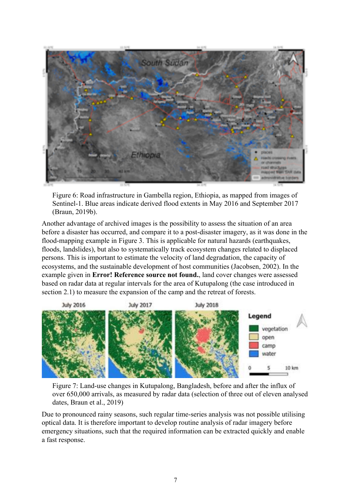

Figure 6: Road infrastructure in Gambella region, Ethiopia, as mapped from images of Sentinel-1. Blue areas indicate derived flood extents in May 2016 and September 2017 (Braun, 2019b).

Another advantage of archived images is the possibility to assess the situation of an area before a disaster has occurred, and compare it to a post-disaster imagery, as it was done in the flood-mapping example in Figure 3. This is applicable for natural hazards (earthquakes, floods, landslides), but also to systematically track ecosystem changes related to displaced persons. This is important to estimate the velocity of land degradation, the capacity of ecosystems, and the sustainable development of host communities (Jacobsen, 2002). In the example given in **Error! Reference source not found.**, land cover changes were assessed based on radar data at regular intervals for the area of Kutupalong (the case introduced in section 2.1) to measure the expansion of the camp and the retreat of forests.



Figure 7: Land-use changes in Kutupalong, Bangladesh, before and after the influx of over 650,000 arrivals, as measured by radar data (selection of three out of eleven analysed dates, Braun et al., 2019)

Due to pronounced rainy seasons, such regular time-series analysis was not possible utilising optical data. It is therefore important to develop routine analysis of radar imagery before emergency situations, such that the required information can be extracted quickly and enable a fast response.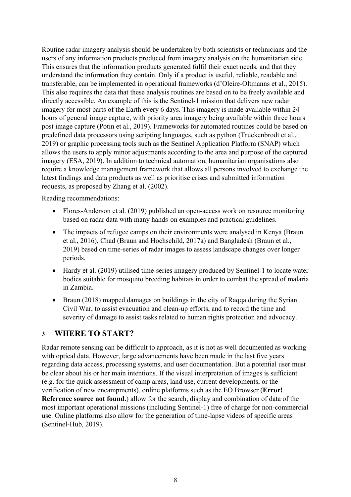Routine radar imagery analysis should be undertaken by both scientists or technicians and the users of any information products produced from imagery analysis on the humanitarian side. This ensures that the information products generated fulfil their exact needs, and that they understand the information they contain. Only if a product is useful, reliable, readable and transferable, can be implemented in operational frameworks (d'Oleire-Oltmanns et al., 2015). This also requires the data that these analysis routines are based on to be freely available and directly accessible. An example of this is the Sentinel-1 mission that delivers new radar imagery for most parts of the Earth every 6 days. This imagery is made available within 24 hours of general image capture, with priority area imagery being available within three hours post image capture (Potin et al., 2019). Frameworks for automated routines could be based on predefined data processors using scripting languages, such as python (Truckenbrodt et al., 2019) or graphic processing tools such as the Sentinel Application Platform (SNAP) which allows the users to apply minor adjustments according to the area and purpose of the captured imagery (ESA, 2019). In addition to technical automation, humanitarian organisations also require a knowledge management framework that allows all persons involved to exchange the latest findings and data products as well as prioritise crises and submitted information requests, as proposed by Zhang et al. (2002).

Reading recommendations:

- Flores-Anderson et al. (2019) published an open-access work on resource monitoring based on radar data with many hands-on examples and practical guidelines.
- The impacts of refugee camps on their environments were analysed in Kenya (Braun et al., 2016), Chad (Braun and Hochschild, 2017a) and Bangladesh (Braun et al., 2019) based on time-series of radar images to assess landscape changes over longer periods.
- Hardy et al. (2019) utilised time-series imagery produced by Sentinel-1 to locate water bodies suitable for mosquito breeding habitats in order to combat the spread of malaria in Zambia.
- Braun (2018) mapped damages on buildings in the city of Raqqa during the Syrian Civil War, to assist evacuation and clean-up efforts, and to record the time and severity of damage to assist tasks related to human rights protection and advocacy.

## **3 WHERE TO START?**

Radar remote sensing can be difficult to approach, as it is not as well documented as working with optical data. However, large advancements have been made in the last five years regarding data access, processing systems, and user documentation. But a potential user must be clear about his or her main intentions. If the visual interpretation of images is sufficient (e.g. for the quick assessment of camp areas, land use, current developments, or the verification of new encampments), online platforms such as the EO Browser (**Error! Reference source not found.**) allow for the search, display and combination of data of the most important operational missions (including Sentinel-1) free of charge for non-commercial use. Online platforms also allow for the generation of time-lapse videos of specific areas (Sentinel-Hub, 2019).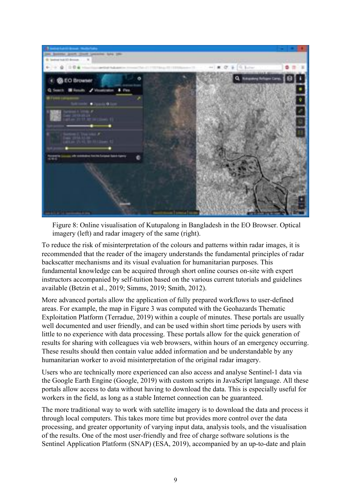

Figure 8: Online visualisation of Kutupalong in Bangladesh in the EO Browser. Optical imagery (left) and radar imagery of the same (right).

To reduce the risk of misinterpretation of the colours and patterns within radar images, it is recommended that the reader of the imagery understands the fundamental principles of radar backscatter mechanisms and its visual evaluation for humanitarian purposes. This fundamental knowledge can be acquired through short online courses on-site with expert instructors accompanied by self-tuition based on the various current tutorials and guidelines available (Betzin et al., 2019; Simms, 2019; Smith, 2012).

More advanced portals allow the application of fully prepared workflows to user-defined areas. For example, the map in Figure 3 was computed with the Geohazards Thematic Exploitation Platform (Terradue, 2019) within a couple of minutes. These portals are usually well documented and user friendly, and can be used within short time periods by users with little to no experience with data processing. These portals allow for the quick generation of results for sharing with colleagues via web browsers, within hours of an emergency occurring. These results should then contain value added information and be understandable by any humanitarian worker to avoid misinterpretation of the original radar imagery.

Users who are technically more experienced can also access and analyse Sentinel-1 data via the Google Earth Engine (Google, 2019) with custom scripts in JavaScript language. All these portals allow access to data without having to download the data. This is especially useful for workers in the field, as long as a stable Internet connection can be guaranteed.

The more traditional way to work with satellite imagery is to download the data and process it through local computers. This takes more time but provides more control over the data processing, and greater opportunity of varying input data, analysis tools, and the visualisation of the results. One of the most user-friendly and free of charge software solutions is the Sentinel Application Platform (SNAP) (ESA, 2019), accompanied by an up-to-date and plain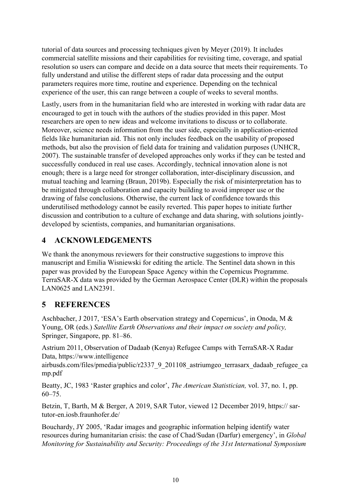tutorial of data sources and processing techniques given by Meyer (2019). It includes commercial satellite missions and their capabilities for revisiting time, coverage, and spatial resolution so users can compare and decide on a data source that meets their requirements. To fully understand and utilise the different steps of radar data processing and the output parameters requires more time, routine and experience. Depending on the technical experience of the user, this can range between a couple of weeks to several months.

Lastly, users from in the humanitarian field who are interested in working with radar data are encouraged to get in touch with the authors of the studies provided in this paper. Most researchers are open to new ideas and welcome invitations to discuss or to collaborate. Moreover, science needs information from the user side, especially in application-oriented fields like humanitarian aid. This not only includes feedback on the usability of proposed methods, but also the provision of field data for training and validation purposes (UNHCR, 2007). The sustainable transfer of developed approaches only works if they can be tested and successfully conduced in real use cases. Accordingly, technical innovation alone is not enough; there is a large need for stronger collaboration, inter-disciplinary discussion, and mutual teaching and learning (Braun, 2019b). Especially the risk of misinterpretation has to be mitigated through collaboration and capacity building to avoid improper use or the drawing of false conclusions. Otherwise, the current lack of confidence towards this underutilised methodology cannot be easily reverted. This paper hopes to initiate further discussion and contribution to a culture of exchange and data sharing, with solutions jointlydeveloped by scientists, companies, and humanitarian organisations.

# **4 ACKNOWLEDGEMENTS**

We thank the anonymous reviewers for their constructive suggestions to improve this manuscript and Emilia Wisniewski for editing the article. The Sentinel data shown in this paper was provided by the European Space Agency within the Copernicus Programme. TerraSAR-X data was provided by the German Aerospace Center (DLR) within the proposals LAN0625 and LAN2391.

## **5 REFERENCES**

Aschbacher, J 2017, 'ESA's Earth observation strategy and Copernicus', in Onoda, M & Young, OR (eds.) *Satellite Earth Observations and their impact on society and policy,*  Springer, Singapore, pp. 81–86.

Astrium 2011, Observation of Dadaab (Kenya) Refugee Camps with TerraSAR-X Radar Data, https://www.intelligence

airbusds.com/files/pmedia/public/r2337\_9\_201108\_astriumgeo\_terrasarx\_dadaab\_refugee\_ca mp.pdf

Beatty, JC, 1983 'Raster graphics and color', *The American Statistician,* vol. 37, no. 1, pp. 60–75.

Betzin, T, Barth, M & Berger, A 2019, SAR Tutor, viewed 12 December 2019, https:// sartutor-en.iosb.fraunhofer.de/

Bouchardy, JY 2005, 'Radar images and geographic information helping identify water resources during humanitarian crisis: the case of Chad/Sudan (Darfur) emergency', in *Global Monitoring for Sustainability and Security: Proceedings of the 31st International Symposium*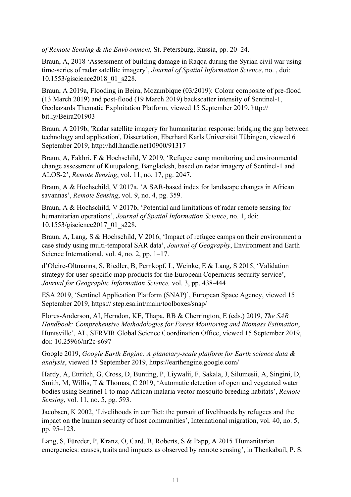*of Remote Sensing & the Environment,* St. Petersburg, Russia, pp. 20–24.

Braun, A, 2018 'Assessment of building damage in Raqqa during the Syrian civil war using time-series of radar satellite imagery', *Journal of Spatial Information Science*, no. , doi: 10.1553/giscience2018\_01\_s228.

Braun, A 2019a, Flooding in Beira, Mozambique (03/2019): Colour composite of pre-flood (13 March 2019) and post-flood (19 March 2019) backscatter intensity of Sentinel-1, Geohazards Thematic Exploitation Platform, viewed 15 September 2019, http:// bit.ly/Beira201903

Braun, A 2019b, 'Radar satellite imagery for humanitarian response: bridging the gap between technology and application', Dissertation, Eberhard Karls Universität Tübingen, viewed 6 September 2019, http://hdl.handle.net10900/91317

Braun, A, Fakhri, F & Hochschild, V 2019, 'Refugee camp monitoring and environmental change assessment of Kutupalong, Bangladesh, based on radar imagery of Sentinel-1 and ALOS-2', *Remote Sensing*, vol. 11, no. 17, pg. 2047.

Braun, A & Hochschild, V 2017a, 'A SAR-based index for landscape changes in African savannas', *Remote Sensing*, vol. 9, no. 4, pg. 359.

Braun, A & Hochschild, V 2017b, 'Potential and limitations of radar remote sensing for humanitarian operations', *Journal of Spatial Information Science*, no. 1, doi: 10.1553/giscience2017\_01\_s228.

Braun, A, Lang, S & Hochschild, V 2016, 'Impact of refugee camps on their environment a case study using multi-temporal SAR data', *Journal of Geography*, Environment and Earth Science International, vol. 4, no. 2, pp. 1–17.

d'Oleire-Oltmanns, S, Riedler, B, Pernkopf, L, Weinke, E & Lang, S 2015, 'Validation strategy for user-specific map products for the European Copernicus security service', *Journal for Geographic Information Science,* vol. 3, pp. 438-444

ESA 2019, 'Sentinel Application Platform (SNAP)', European Space Agency, viewed 15 September 2019, https:// step.esa.int/main/toolboxes/snap/

Flores-Anderson, AI, Herndon, KE, Thapa, RB & Cherrington, E (eds.) 2019, *The SAR Handbook: Comprehensive Methodologies for Forest Monitoring and Biomass Estimation*, Huntsville', AL, SERVIR Global Science Coordination Office, viewed 15 September 2019, doi: 10.25966/nr2c-s697

Google 2019, *Google Earth Engine: A planetary-scale platform for Earth science data & analysis*, viewed 15 September 2019, https://earthengine.google.com/

Hardy, A, Ettritch, G, Cross, D, Bunting, P, Liywalii, F, Sakala, J, Silumesii, A, Singini, D, Smith, M, Willis, T & Thomas, C 2019, 'Automatic detection of open and vegetated water bodies using Sentinel 1 to map African malaria vector mosquito breeding habitats', *Remote Sensing*, vol. 11, no. 5, pg. 593.

Jacobsen, K 2002, 'Livelihoods in conflict: the pursuit of livelihoods by refugees and the impact on the human security of host communities', International migration, vol. 40, no. 5, pp. 95–123.

Lang, S, Füreder, P, Kranz, O, Card, B, Roberts, S & Papp, A 2015 'Humanitarian emergencies: causes, traits and impacts as observed by remote sensing', in Thenkabail, P. S.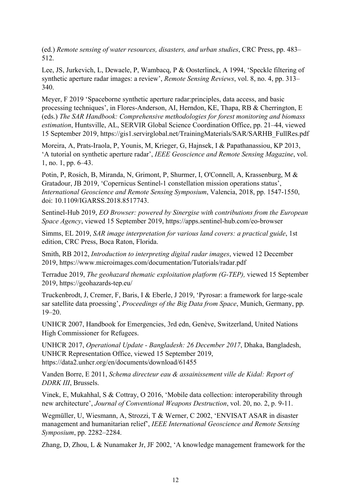(ed.) *Remote sensing of water resources, disasters, and urban studies*, CRC Press, pp. 483– 512.

Lee, JS, Jurkevich, L, Dewaele, P, Wambacq, P & Oosterlinck, A 1994, 'Speckle filtering of synthetic aperture radar images: a review', *Remote Sensing Reviews*, vol. 8, no. 4, pp. 313– 340.

Meyer, F 2019 'Spaceborne synthetic aperture radar:principles, data access, and basic processing techniques', in Flores-Anderson, AI, Herndon, KE, Thapa, RB & Cherrington, E (eds.) *The SAR Handbook: Comprehensive methodologies for forest monitoring and biomass estimation*, Huntsville, AL, SERVIR Global Science Coordination Office, pp. 21–44, viewed 15 September 2019, https://gis1.servirglobal.net/TrainingMaterials/SAR/SARHB\_FullRes.pdf

Moreira, A, Prats-Iraola, P, Younis, M, Krieger, G, Hajnsek, I & Papathanassiou, KP 2013, 'A tutorial on synthetic aperture radar', *IEEE Geoscience and Remote Sensing Magazine*, vol. 1, no. 1, pp. 6–43.

Potin, P, Rosich, B, Miranda, N, Grimont, P, Shurmer, I, O'Connell, A, Krassenburg, M & Gratadour, JB 2019, 'Copernicus Sentinel-1 constellation mission operations status', *International Geoscience and Remote Sensing Symposium*, Valencia, 2018, pp. 1547-1550, doi: 10.1109/IGARSS.2018.8517743.

Sentinel-Hub 2019, *EO Browser: powered by Sinergise with contributions from the European Space Agency*, viewed 15 September 2019, https://apps.sentinel-hub.com/eo-browser

Simms, EL 2019, *SAR image interpretation for various land covers: a practical guide*, 1st edition, CRC Press, Boca Raton, Florida.

Smith, RB 2012, *Introduction to interpreting digital radar images*, viewed 12 December 2019, https://www.microimages.com/documentation/Tutorials/radar.pdf

Terradue 2019, *The geohazard thematic exploitation platform (G-TEP),* viewed 15 September 2019, https://geohazards-tep.eu/

Truckenbrodt, J, Cremer, F, Baris, I & Eberle, J 2019, 'Pyrosar: a framework for large-scale sar satellite data proessing', *Proceedings of the Big Data from Space*, Munich, Germany, pp. 19–20.

UNHCR 2007, Handbook for Emergencies, 3rd edn, Genève, Switzerland, United Nations High Commissioner for Refugees.

UNHCR 2017, *Operational Update - Bangladesh: 26 December 2017*, Dhaka, Bangladesh, UNHCR Representation Office, viewed 15 September 2019, https://data2.unhcr.org/en/documents/download/61455

Vanden Borre, E 2011, *Schema directeur eau & assainissement ville de Kidal: Report of DDRK III*, Brussels.

Vinek, E, Mukahhal, S & Cottray, O 2016, 'Mobile data collection: interoperability through new architecture', *Journal of Conventional Weapons Destruction*, vol. 20, no. 2, p. 9-11.

Wegmüller, U, Wiesmann, A, Strozzi, T & Werner, C 2002, 'ENVISAT ASAR in disaster management and humanitarian relief', *IEEE International Geoscience and Remote Sensing Symposium*, pp. 2282–2284.

Zhang, D, Zhou, L & Nunamaker Jr, JF 2002, 'A knowledge management framework for the